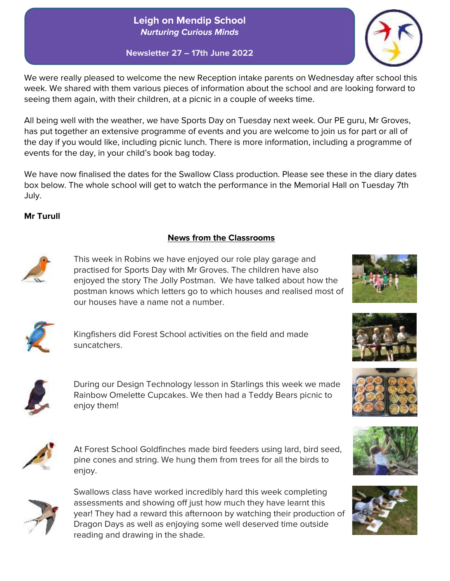## **Leigh on Mendip School** *Nurturing Curious Minds*

**Newsletter 27 – 17th June 2022**

We were really pleased to welcome the new Reception intake parents on Wednesday after school this week. We shared with them various pieces of information about the school and are looking forward to seeing them again, with their children, at a picnic in a couple of weeks time.

All being well with the weather, we have Sports Day on Tuesday next week. Our PE guru, Mr Groves, has put together an extensive programme of events and you are welcome to join us for part or all of the day if you would like, including picnic lunch. There is more information, including a programme of events for the day, in your child's book bag today.

We have now finalised the dates for the Swallow Class production. Please see these in the diary dates box below. The whole school will get to watch the performance in the Memorial Hall on Tuesday 7th July.

### **Mr Turull**

### **News from the Classrooms**



This week in Robins we have enjoyed our role play garage and practised for Sports Day with Mr Groves. The children have also enjoyed the story The Jolly Postman. We have talked about how the postman knows which letters go to which houses and realised most of our houses have a name not a number.



Kingfishers did Forest School activities on the field and made suncatchers.



During our Design Technology lesson in Starlings this week we made Rainbow Omelette Cupcakes. We then had a Teddy Bears picnic to enjoy them!



At Forest School Goldfinches made bird feeders using lard, bird seed, pine cones and string. We hung them from trees for all the birds to enjoy.



Swallows class have worked incredibly hard this week completing assessments and showing off just how much they have learnt this year! They had a reward this afternoon by watching their production of Dragon Days as well as enjoying some well deserved time outside reading and drawing in the shade.